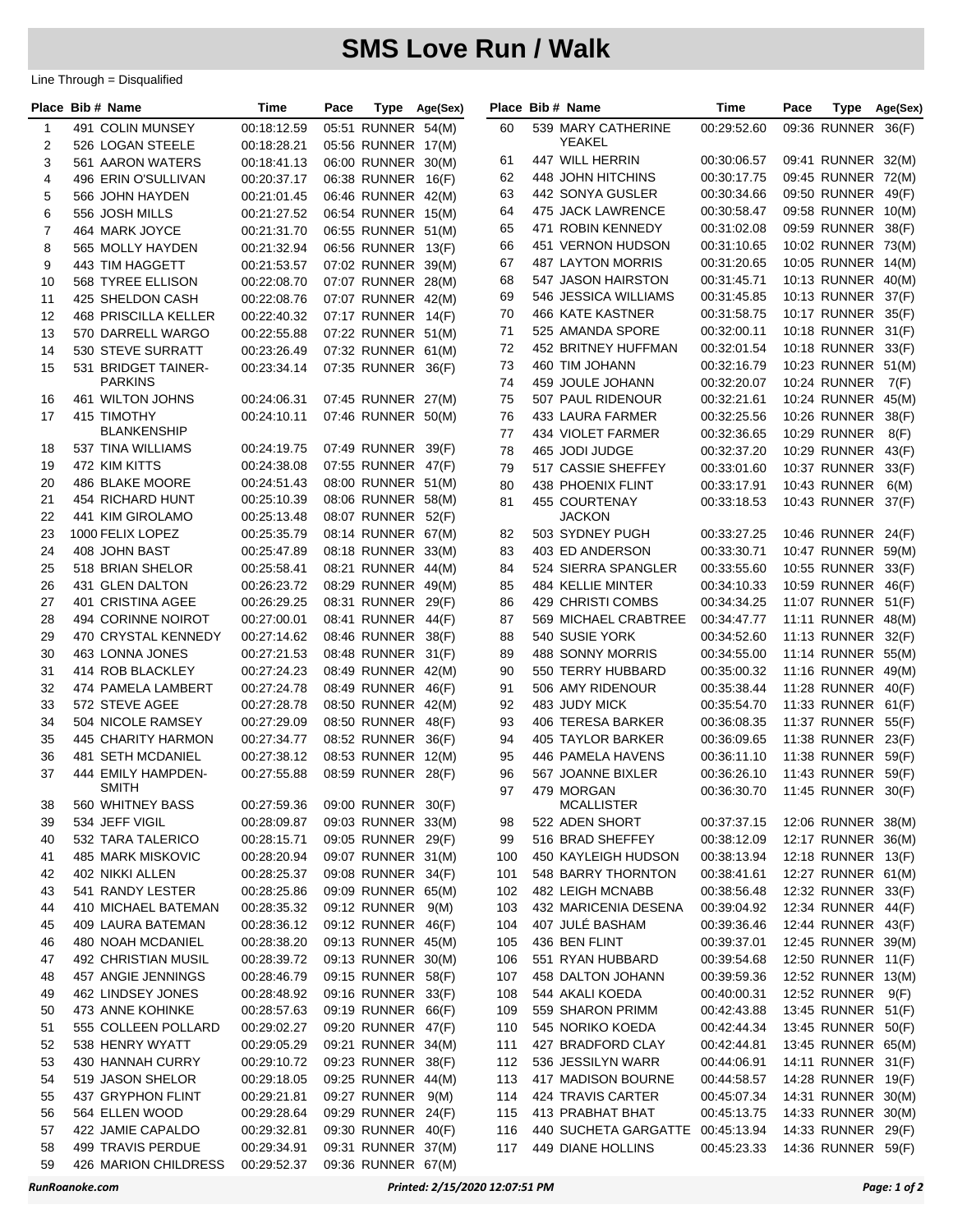## **SMS Love Run / Walk**

Line Through = Disqualified

|    | Place Bib # Name                   | Time        | Pace | Type               | Age(Sex) |          | Place Bib # Name                 | <b>Time</b> | Pace | <b>Type</b>         | Age(Sex) |
|----|------------------------------------|-------------|------|--------------------|----------|----------|----------------------------------|-------------|------|---------------------|----------|
| 1  | 491 COLIN MUNSEY                   | 00:18:12.59 |      | 05:51 RUNNER 54(M) |          | 60       | 539 MARY CATHERINE               | 00:29:52.60 |      | 09:36 RUNNER 36(F)  |          |
| 2  | 526 LOGAN STEELE                   | 00:18:28.21 |      | 05:56 RUNNER 17(M) |          |          | YEAKEL                           |             |      |                     |          |
| 3  | 561 AARON WATERS                   | 00:18:41.13 |      | 06:00 RUNNER 30(M) |          | 61       | 447 WILL HERRIN                  | 00:30:06.57 |      | 09:41 RUNNER 32(M)  |          |
| 4  | 496 ERIN O'SULLIVAN                | 00:20:37.17 |      | 06:38 RUNNER       | 16(F)    | 62       | 448 JOHN HITCHINS                | 00:30:17.75 |      | 09:45 RUNNER 72(M)  |          |
| 5  | 566 JOHN HAYDEN                    | 00:21:01.45 |      | 06:46 RUNNER 42(M) |          | 63       | 442 SONYA GUSLER                 | 00:30:34.66 |      | 09:50 RUNNER 49(F)  |          |
| 6  | 556 JOSH MILLS                     | 00:21:27.52 |      | 06:54 RUNNER 15(M) |          | 64       | 475 JACK LAWRENCE                | 00:30:58.47 |      | 09:58 RUNNER 10(M)  |          |
| 7  | 464 MARK JOYCE                     | 00:21:31.70 |      | 06:55 RUNNER 51(M) |          | 65       | 471 ROBIN KENNEDY                | 00:31:02.08 |      | 09:59 RUNNER 38(F)  |          |
| 8  | 565 MOLLY HAYDEN                   | 00:21:32.94 |      | 06:56 RUNNER 13(F) |          | 66       | 451 VERNON HUDSON                | 00:31:10.65 |      | 10:02 RUNNER 73(M)  |          |
| 9  | 443 TIM HAGGETT                    | 00:21:53.57 |      | 07:02 RUNNER 39(M) |          | 67       | 487 LAYTON MORRIS                | 00:31:20.65 |      | 10:05 RUNNER 14(M)  |          |
| 10 | 568 TYREE ELLISON                  | 00:22:08.70 |      | 07:07 RUNNER 28(M) |          | 68       | 547 JASON HAIRSTON               | 00:31:45.71 |      | 10:13 RUNNER 40(M)  |          |
| 11 | 425 SHELDON CASH                   | 00:22:08.76 |      | 07:07 RUNNER 42(M) |          | 69       | 546 JESSICA WILLIAMS             | 00:31:45.85 |      | 10:13 RUNNER 37(F)  |          |
| 12 | <b>468 PRISCILLA KELLER</b>        | 00:22:40.32 |      | 07:17 RUNNER 14(F) |          | 70       | <b>466 KATE KASTNER</b>          | 00:31:58.75 |      | 10:17 RUNNER 35(F)  |          |
| 13 | 570 DARRELL WARGO                  | 00:22:55.88 |      | 07:22 RUNNER 51(M) |          | 71       | 525 AMANDA SPORE                 | 00:32:00.11 |      | 10:18 RUNNER 31(F)  |          |
| 14 | 530 STEVE SURRATT                  | 00:23:26.49 |      | 07:32 RUNNER 61(M) |          | 72       | 452 BRITNEY HUFFMAN              | 00:32:01.54 |      | 10:18 RUNNER        | 33(F)    |
| 15 | 531 BRIDGET TAINER-                | 00:23:34.14 |      | 07:35 RUNNER 36(F) |          | 73       | 460 TIM JOHANN                   | 00:32:16.79 |      | 10:23 RUNNER 51(M)  |          |
|    | <b>PARKINS</b>                     |             |      |                    |          | 74       | 459 JOULE JOHANN                 | 00:32:20.07 |      | 10:24 RUNNER        | 7(F)     |
| 16 | 461 WILTON JOHNS                   | 00:24:06.31 |      | 07:45 RUNNER 27(M) |          | 75       | 507 PAUL RIDENOUR                | 00:32:21.61 |      | 10:24 RUNNER 45(M)  |          |
| 17 | 415 TIMOTHY                        | 00:24:10.11 |      | 07:46 RUNNER 50(M) |          | 76       | 433 LAURA FARMER                 | 00:32:25.56 |      | 10:26 RUNNER        | 38(F)    |
|    | <b>BLANKENSHIP</b>                 |             |      |                    |          | 77       | 434 VIOLET FARMER                | 00:32:36.65 |      | <b>10:29 RUNNER</b> | 8(F)     |
| 18 | 537 TINA WILLIAMS                  | 00:24:19.75 |      | 07:49 RUNNER 39(F) |          | 78       | 465 JODI JUDGE                   | 00:32:37.20 |      | <b>10:29 RUNNER</b> | 43(F)    |
| 19 | 472 KIM KITTS                      | 00:24:38.08 |      | 07:55 RUNNER 47(F) |          | 79       | 517 CASSIE SHEFFEY               | 00:33:01.60 |      | 10:37 RUNNER        | 33(F)    |
| 20 | 486 BLAKE MOORE                    | 00:24:51.43 |      | 08:00 RUNNER 51(M) |          | 80       | 438 PHOENIX FLINT                | 00:33:17.91 |      | 10:43 RUNNER        | 6(M)     |
| 21 | 454 RICHARD HUNT                   | 00:25:10.39 |      | 08:06 RUNNER 58(M) |          | 81       | <b>455 COURTENAY</b>             | 00:33:18.53 |      | 10:43 RUNNER 37(F)  |          |
| 22 | 441 KIM GIROLAMO                   | 00:25:13.48 |      | 08:07 RUNNER 52(F) |          |          | JACKON                           |             |      |                     |          |
| 23 | 1000 FELIX LOPEZ                   | 00:25:35.79 |      | 08:14 RUNNER 67(M) |          | 82       | 503 SYDNEY PUGH                  | 00:33:27.25 |      | 10:46 RUNNER 24(F)  |          |
| 24 | 408 JOHN BAST                      | 00:25:47.89 |      | 08:18 RUNNER 33(M) |          | 83       | 403 ED ANDERSON                  | 00:33:30.71 |      | 10:47 RUNNER 59(M)  |          |
| 25 | 518 BRIAN SHELOR                   | 00:25:58.41 |      | 08:21 RUNNER 44(M) |          | 84       | 524 SIERRA SPANGLER              | 00:33:55.60 |      | 10:55 RUNNER 33(F)  |          |
| 26 | 431 GLEN DALTON                    | 00:26:23.72 |      | 08:29 RUNNER 49(M) |          | 85       | 484 KELLIE MINTER                | 00:34:10.33 |      | 10:59 RUNNER 46(F)  |          |
| 27 | 401 CRISTINA AGEE                  | 00:26:29.25 |      | 08:31 RUNNER 29(F) |          | 86       | 429 CHRISTI COMBS                | 00:34:34.25 |      | 11:07 RUNNER 51(F)  |          |
| 28 | 494 CORINNE NOIROT                 | 00:27:00.01 |      | 08:41 RUNNER 44(F) |          | 87       | 569 MICHAEL CRABTREE             | 00:34:47.77 |      | 11:11 RUNNER 48(M)  |          |
| 29 | 470 CRYSTAL KENNEDY                | 00:27:14.62 |      | 08:46 RUNNER 38(F) |          | 88       | 540 SUSIE YORK                   | 00:34:52.60 |      | <b>11:13 RUNNER</b> | 32(F)    |
| 30 | 463 LONNA JONES                    | 00:27:21.53 |      | 08:48 RUNNER 31(F) |          | 89       | 488 SONNY MORRIS                 | 00:34:55.00 |      | 11:14 RUNNER 55(M)  |          |
| 31 | 414 ROB BLACKLEY                   | 00:27:24.23 |      | 08:49 RUNNER 42(M) |          | 90       | 550 TERRY HUBBARD                | 00:35:00.32 |      | 11:16 RUNNER 49(M)  |          |
| 32 | 474 PAMELA LAMBERT                 | 00:27:24.78 |      | 08:49 RUNNER       | 46(F)    | 91       | 506 AMY RIDENOUR                 | 00:35:38.44 |      | 11:28 RUNNER 40(F)  |          |
| 33 | 572 STEVE AGEE                     | 00:27:28.78 |      | 08:50 RUNNER 42(M) |          | 92       | 483 JUDY MICK                    | 00:35:54.70 |      | 11:33 RUNNER 61(F)  |          |
| 34 | 504 NICOLE RAMSEY                  | 00:27:29.09 |      | 08:50 RUNNER       | 48(F)    | 93       | 406 TERESA BARKER                | 00:36:08.35 |      | 11:37 RUNNER        | 55(F)    |
| 35 | 445 CHARITY HARMON                 | 00:27:34.77 |      | 08:52 RUNNER 36(F) |          | 94       | 405 TAYLOR BARKER                | 00:36:09.65 |      | <b>11:38 RUNNER</b> | 23(F)    |
| 36 | 481 SETH MCDANIEL                  | 00:27:38.12 |      | 08:53 RUNNER 12(M) |          | 95       | 446 PAMELA HAVENS                | 00:36:11.10 |      | 11:38 RUNNER 59(F)  |          |
| 37 | 444 EMILY HAMPDEN-<br><b>SMITH</b> | 00:27:55.88 |      | 08:59 RUNNER 28(F) |          | 96<br>97 | 567 JOANNE BIXLER                | 00:36:26.10 |      | <b>11:43 RUNNER</b> | 59(F)    |
| 38 | 560 WHITNEY BASS                   | 00:27:59.36 |      | 09:00 RUNNER 30(F) |          |          | 479 MORGAN<br><b>MCALLISTER</b>  | 00:36:30.70 |      | 11:45 RUNNER 30(F)  |          |
| 39 | 534 JEFF VIGIL                     | 00:28:09.87 |      | 09:03 RUNNER 33(M) |          | 98       | 522 ADEN SHORT                   | 00:37:37.15 |      | 12:06 RUNNER 38(M)  |          |
| 40 | 532 TARA TALERICO                  | 00:28:15.71 |      | 09:05 RUNNER 29(F) |          | 99       | 516 BRAD SHEFFEY                 | 00:38:12.09 |      | 12:17 RUNNER 36(M)  |          |
| 41 | 485 MARK MISKOVIC                  | 00:28:20.94 |      | 09:07 RUNNER 31(M) |          | 100      | 450 KAYLEIGH HUDSON              | 00:38:13.94 |      | 12:18 RUNNER 13(F)  |          |
| 42 | 402 NIKKI ALLEN                    | 00:28:25.37 |      | 09:08 RUNNER 34(F) |          | 101      | 548 BARRY THORNTON               | 00:38:41.61 |      | 12:27 RUNNER 61(M)  |          |
| 43 | 541 RANDY LESTER                   | 00:28:25.86 |      | 09:09 RUNNER 65(M) |          | 102      | 482 LEIGH MCNABB                 | 00:38:56.48 |      | 12:32 RUNNER 33(F)  |          |
| 44 | 410 MICHAEL BATEMAN                | 00:28:35.32 |      | 09:12 RUNNER       | 9(M)     | 103      | 432 MARICENIA DESENA             | 00:39:04.92 |      | 12:34 RUNNER 44(F)  |          |
| 45 | 409 LAURA BATEMAN                  | 00:28:36.12 |      | 09:12 RUNNER 46(F) |          | 104      | 407 JULÉ BASHAM                  | 00:39:36.46 |      | 12:44 RUNNER 43(F)  |          |
| 46 | 480 NOAH MCDANIEL                  | 00:28:38.20 |      | 09:13 RUNNER 45(M) |          | 105      | 436 BEN FLINT                    | 00:39:37.01 |      | 12:45 RUNNER 39(M)  |          |
| 47 | 492 CHRISTIAN MUSIL                | 00:28:39.72 |      | 09:13 RUNNER 30(M) |          | 106      | 551 RYAN HUBBARD                 | 00:39:54.68 |      | 12:50 RUNNER 11(F)  |          |
| 48 | 457 ANGIE JENNINGS                 | 00:28:46.79 |      | 09:15 RUNNER 58(F) |          | 107      | 458 DALTON JOHANN                | 00:39:59.36 |      | 12:52 RUNNER 13(M)  |          |
| 49 | 462 LINDSEY JONES                  | 00:28:48.92 |      | 09:16 RUNNER 33(F) |          | 108      | 544 AKALI KOEDA                  | 00:40:00.31 |      | 12:52 RUNNER 9(F)   |          |
| 50 | 473 ANNE KOHINKE                   | 00:28:57.63 |      | 09:19 RUNNER 66(F) |          | 109      | 559 SHARON PRIMM                 | 00:42:43.88 |      | 13:45 RUNNER 51(F)  |          |
| 51 | 555 COLLEEN POLLARD                | 00:29:02.27 |      | 09:20 RUNNER 47(F) |          | 110      | 545 NORIKO KOEDA                 | 00:42:44.34 |      | 13:45 RUNNER 50(F)  |          |
| 52 | 538 HENRY WYATT                    | 00:29:05.29 |      | 09:21 RUNNER 34(M) |          | 111      | 427 BRADFORD CLAY                | 00:42:44.81 |      | 13:45 RUNNER 65(M)  |          |
| 53 | 430 HANNAH CURRY                   | 00:29:10.72 |      | 09:23 RUNNER 38(F) |          | 112      | 536 JESSILYN WARR                | 00:44:06.91 |      | 14:11 RUNNER 31(F)  |          |
| 54 | 519 JASON SHELOR                   | 00:29:18.05 |      | 09:25 RUNNER 44(M) |          | 113      | 417 MADISON BOURNE               | 00:44:58.57 |      | 14:28 RUNNER 19(F)  |          |
| 55 | 437 GRYPHON FLINT                  | 00:29:21.81 |      | 09:27 RUNNER 9(M)  |          | 114      | 424 TRAVIS CARTER                | 00:45:07.34 |      | 14:31 RUNNER 30(M)  |          |
| 56 | 564 ELLEN WOOD                     | 00:29:28.64 |      | 09:29 RUNNER 24(F) |          | 115      | 413 PRABHAT BHAT                 | 00:45:13.75 |      | 14:33 RUNNER 30(M)  |          |
| 57 | 422 JAMIE CAPALDO                  | 00:29:32.81 |      | 09:30 RUNNER 40(F) |          | 116      | 440 SUCHETA GARGATTE 00:45:13.94 |             |      | 14:33 RUNNER 29(F)  |          |
| 58 | 499 TRAVIS PERDUE                  | 00:29:34.91 |      | 09:31 RUNNER 37(M) |          | 117      | 449 DIANE HOLLINS                | 00:45:23.33 |      | 14:36 RUNNER 59(F)  |          |
| 59 | 426 MARION CHILDRESS               | 00:29:52.37 |      | 09:36 RUNNER 67(M) |          |          |                                  |             |      |                     |          |